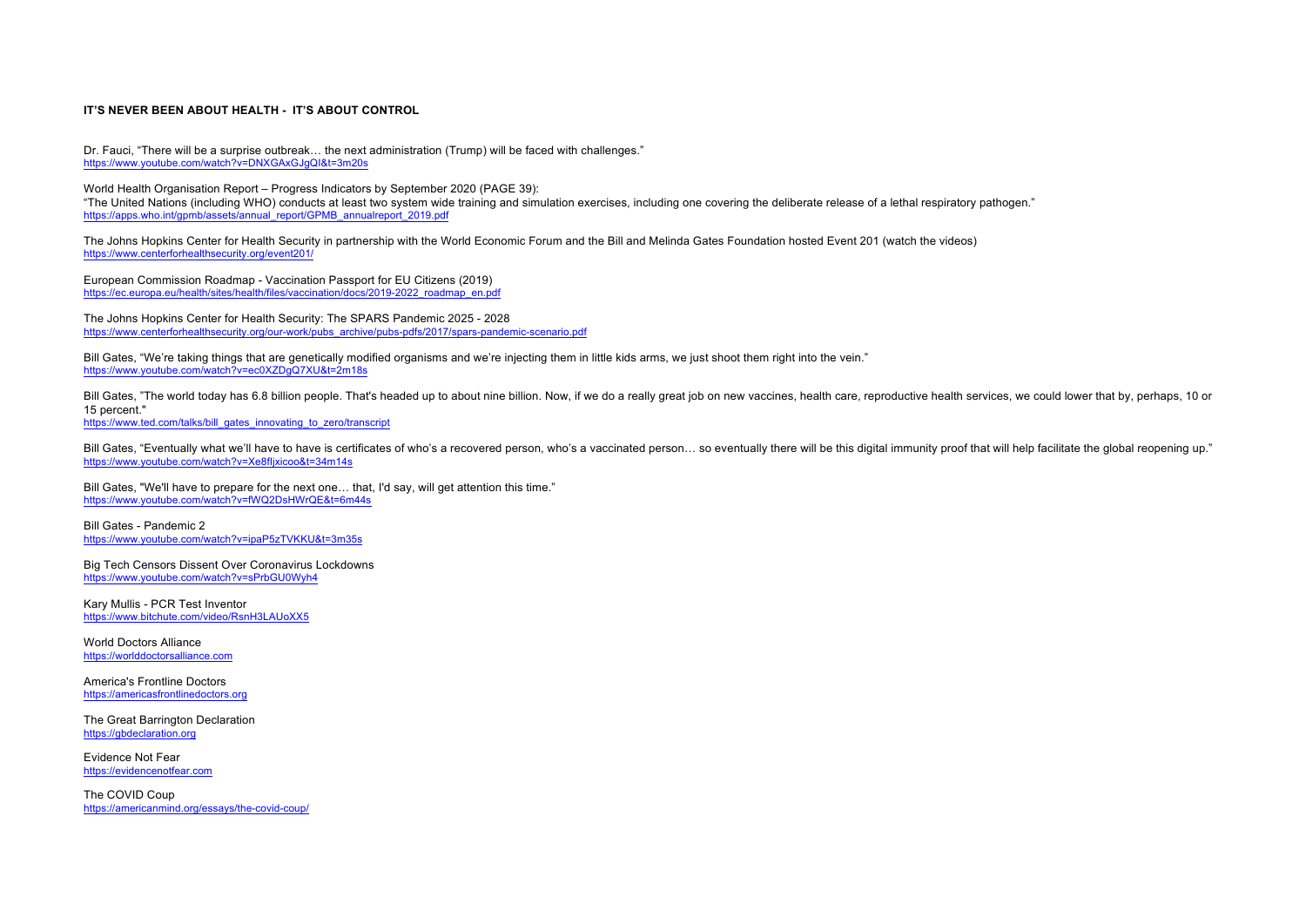## **IT'S NEVER BEEN ABOUT HEALTH - IT'S ABOUT CONTROL**

Dr. Fauci, "There will be a surprise outbreak… the next administration (Trump) will be faced with challenges." https://www.youtube.com/watch?v=DNXGAxGJgQI&t=3m20s

World Health Organisation Report – Progress Indicators by September 2020 (PAGE 39): "The United Nations (including WHO) conducts at least two system wide training and simulation exercises, including one covering the deliberate release of a lethal respiratory pathogen." https://apps.who.int/gpmb/assets/annual\_report/GPMB\_annualreport\_2019.pdf

The Johns Hopkins Center for Health Security in partnership with the World Economic Forum and the Bill and Melinda Gates Foundation hosted Event 201 (watch the videos) https://www.centerforhealthsecurity.org/event201/

European Commission Roadmap - Vaccination Passport for EU Citizens (2019) https://ec.europa.eu/health/sites/health/files/vaccination/docs/2019-2022\_roadmap\_en.pdf

The Johns Hopkins Center for Health Security: The SPARS Pandemic 2025 - 2028 https://www.centerforhealthsecurity.org/our-work/pubs\_archive/pubs-pdfs/2017/spars-pandemic-scenario.pdf

Bill Gates, "We're taking things that are genetically modified organisms and we're injecting them in little kids arms, we just shoot them right into the vein." https://www.youtube.com/watch?v=ec0XZDgQ7XU&t=2m18s

Bill Gates, "The world today has 6.8 billion people. That's headed up to about nine billion. Now, if we do a really great job on new vaccines, health care, reproductive health services, we could lower that by, perhaps, 10 15 percent."

https://www.ted.com/talks/bill\_gates\_innovating\_to\_zero/transcript

Bill Gates, "Eventually what we'll have to have is certificates of who's a recovered person, who's a vaccinated person... so eventually there will be this digital immunity proof that will help facilitate the global reopeni https://www.youtube.com/watch?v=Xe8fIjxicoo&t=34m14s

Bill Gates, "We'll have to prepare for the next one... that, I'd say, will get attention this time." https://www.youtube.com/watch?v=fWQ2DsHWrQE&t=6m44s

Bill Gates - Pandemic 2 https://www.youtube.com/watch?v=ipaP5zTVKKU&t=3m35s

Big Tech Censors Dissent Over Coronavirus Lockdowns https://www.youtube.com/watch?v=sPrbGU0Wyh4

Kary Mullis - PCR Test Inventor https://www.bitchute.com/video/RsnH3LAUoXX5

World Doctors Alliance https://worlddoctorsalliance.com

America's Frontline Doctors https://americasfrontlinedoctors.org

The Great Barrington Declaration https://gbdeclaration.org

Evidence Not Fear https://evidencenotfear.com

The COVID Coup https://americanmind.org/essays/the-covid-coup/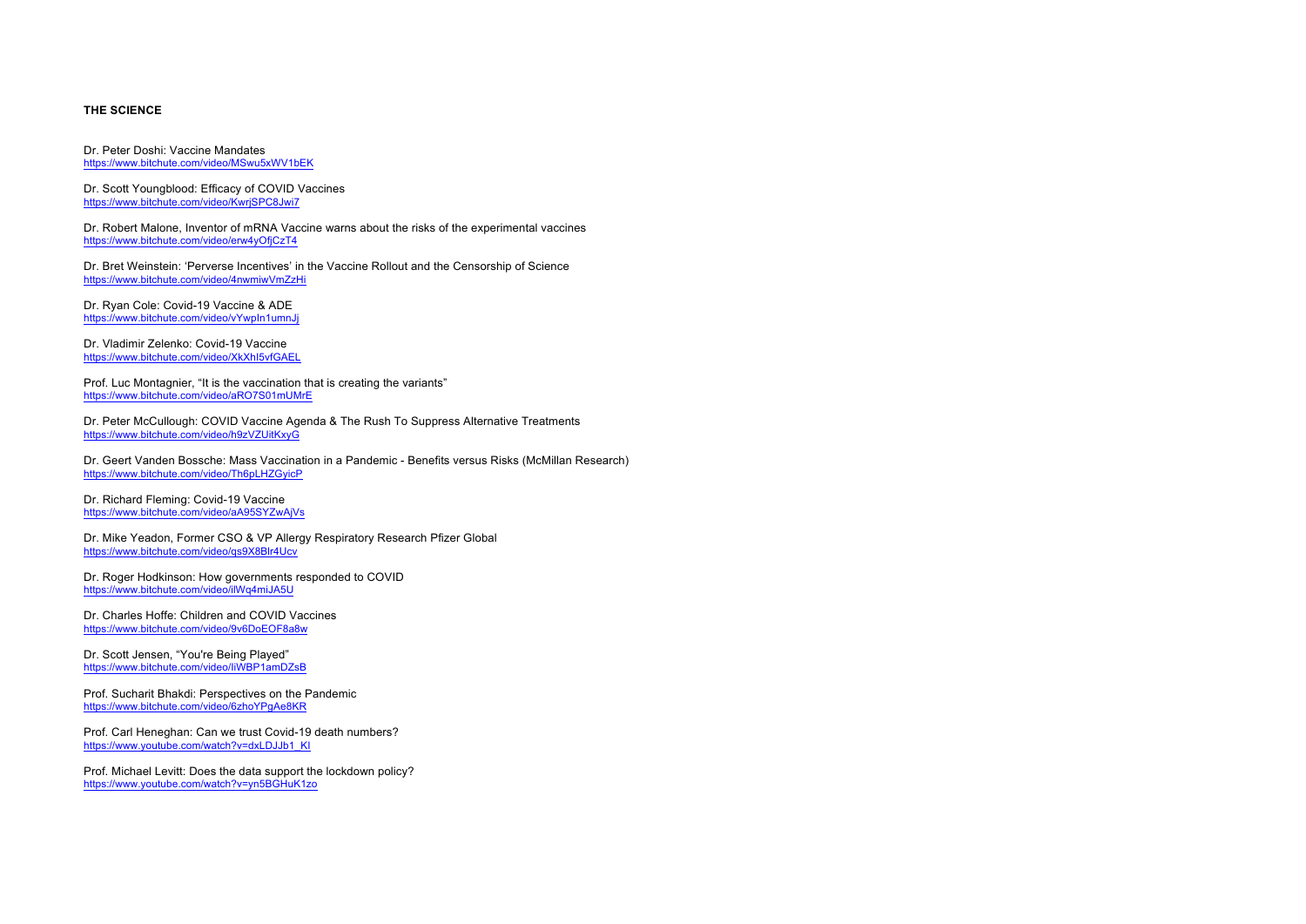# **THE SCIENCE**

Dr. Peter Doshi: Vaccine Mandates https://www.bitchute.com/video/MSwu5xWV1bEK

Dr. Scott Youngblood: Efficacy of COVID Vaccines https://www.bitchute.com/video/KwrjSPC8Jwi7

Dr. Robert Malone, Inventor of mRNA Vaccine warns about the risks of the experimental vaccines https://www.bitchute.com/video/erw4yOfjCzT4

Dr. Bret Weinstein: 'Perverse Incentives' in the Vaccine Rollout and the Censorship of Science https://www.bitchute.com/video/4nwmiwVmZzHi

Dr. Ryan Cole: Covid-19 Vaccine & ADE https://www.bitchute.com/video/vYwpIn1umnJj

Dr. Vladimir Zelenko: Covid-19 Vaccine https://www.bitchute.com/video/XkXhI5vfGAEL

Prof. Luc Montagnier, "It is the vaccination that is creating the variants" https://www.bitchute.com/video/aRO7S01mUMrE

Dr. Peter McCullough: COVID Vaccine Agenda & The Rush To Suppress Alternative Treatments https://www.bitchute.com/video/h9zVZUitKxyG

Dr. Geert Vanden Bossche: Mass Vaccination in a Pandemic - Benefits versus Risks (McMillan Research) https://www.bitchute.com/video/Th6pLHZGyicP

Dr. Richard Fleming: Covid-19 Vaccine https://www.bitchute.com/video/aA95SYZwAjVs

Dr. Mike Yeadon, Former CSO & VP Allergy Respiratory Research Pfizer Global https://www.bitchute.com/video/qs9X8Blr4Ucv

Dr. Roger Hodkinson: How governments responded to COVID https://www.bitchute.com/video/ilWq4miJA5U

Dr. Charles Hoffe: Children and COVID Vaccines https://www.bitchute.com/video/9v6DoEOF8a8w

Dr. Scott Jensen, "You're Being Played" https://www.bitchute.com/video/IiWBP1amDZsB

Prof. Sucharit Bhakdi: Perspectives on the Pandemic https://www.bitchute.com/video/6zhoYPgAe8KR

Prof. Carl Heneghan: Can we trust Covid-19 death numbers? https://www.youtube.com/watch?v=dxLDJJb1\_KI

Prof. Michael Levitt: Does the data support the lockdown policy? https://www.youtube.com/watch?v=yn5BGHuK1zo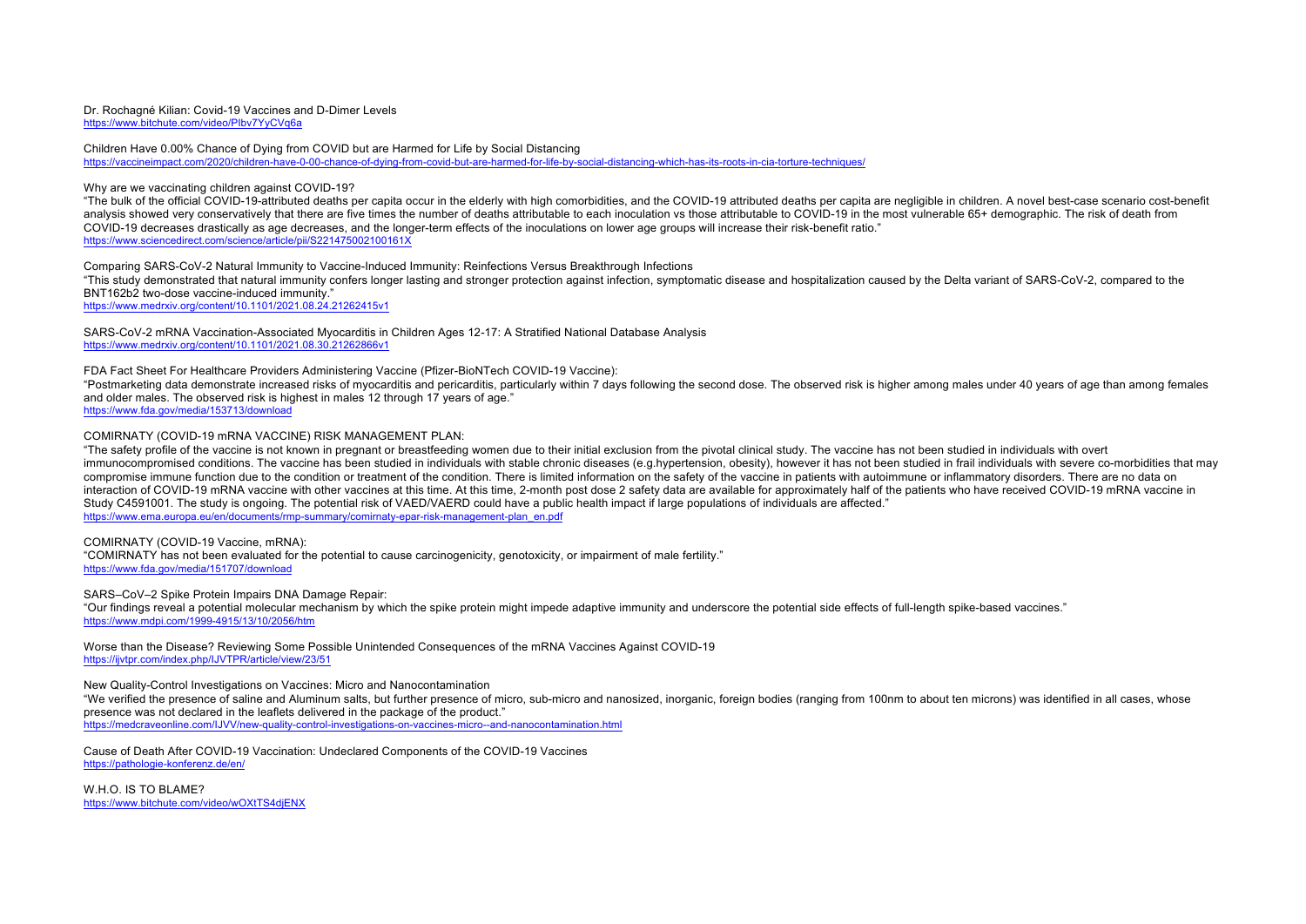#### Dr. Rochagné Kilian: Covid-19 Vaccines and D-Dimer Levels https://www.bitchute.com/video/PIbv7YyCVq6a

Children Have 0.00% Chance of Dying from COVID but are Harmed for Life by Social Distancing https://vaccineimpact.com/2020/children-have-0-00-chance-of-dying-from-covid-but-are-harmed-for-life-by-social-distancing-which-has-its-roots-in-cia-torture-techniques/

### Why are we vaccinating children against COVID-19?

"The bulk of the official COVID-19-attributed deaths per capita occur in the elderly with high comorbidities, and the COVID-19 attributed deaths per capita are negligible in children. A novel best-case scenario cost-benefi analysis showed very conservatively that there are five times the number of deaths attributable to each inoculation vs those attributable to COVID-19 in the most vulnerable 65+ demographic. The risk of death from COVID-19 decreases drastically as age decreases, and the longer-term effects of the inoculations on lower age groups will increase their risk-benefit ratio." https://www.sciencedirect.com/science/article/pii/S221475002100161X

### Comparing SARS-CoV-2 Natural Immunity to Vaccine-Induced Immunity: Reinfections Versus Breakthrough Infections

"This study demonstrated that natural immunity confers longer lasting and stronger protection against infection, symptomatic disease and hospitalization caused by the Delta variant of SARS-CoV-2, compared to the BNT162b2 two-dose vaccine-induced immunity."

https://www.medrxiv.org/content/10.1101/2021.08.24.21262415v1

SARS-CoV-2 mRNA Vaccination-Associated Myocarditis in Children Ages 12-17: A Stratified National Database Analysis https://www.medrxiv.org/content/10.1101/2021.08.30.21262866v1

FDA Fact Sheet For Healthcare Providers Administering Vaccine (Pfizer-BioNTech COVID-19 Vaccine):

"Postmarketing data demonstrate increased risks of myocarditis and pericarditis, particularly within 7 days following the second dose. The observed risk is higher among males under 40 years of age than among females and older males. The observed risk is highest in males 12 through 17 years of age."

https://www.fda.gov/media/153713/download

# COMIRNATY (COVID-19 mRNA VACCINE) RISK MANAGEMENT PLAN:

"The safety profile of the vaccine is not known in pregnant or breastfeeding women due to their initial exclusion from the pivotal clinical study. The vaccine has not been studied in individuals with overt immunocompromised conditions. The vaccine has been studied in individuals with stable chronic diseases (e.g.hypertension, obesity), however it has not been studied in frail individuals with severe co-morbidities that may compromise immune function due to the condition or treatment of the condition. There is limited information on the safety of the vaccine in patients with autoimmune or inflammatory disorders. There are no data on interaction of COVID-19 mRNA vaccine with other vaccines at this time. At this time, 2-month post dose 2 safety data are available for approximately half of the patients who have received COVID-19 mRNA vaccine in Study C4591001. The study is ongoing. The potential risk of VAED/VAERD could have a public health impact if large populations of individuals are affected." https://www.ema.europa.eu/en/documents/rmp-summary/comirnaty-epar-risk-management-plan\_en.pdf

COMIRNATY (COVID-19 Vaccine, mRNA): "COMIRNATY has not been evaluated for the potential to cause carcinogenicity, genotoxicity, or impairment of male fertility." https://www.fda.gov/media/151707/download

SARS–CoV–2 Spike Protein Impairs DNA Damage Repair: "Our findings reveal a potential molecular mechanism by which the spike protein might impede adaptive immunity and underscore the potential side effects of full-length spike-based vaccines." https://www.mdpi.com/1999-4915/13/10/2056/htm

Worse than the Disease? Reviewing Some Possible Unintended Consequences of the mRNA Vaccines Against COVID-19 https://ijvtpr.com/index.php/IJVTPR/article/view/23/51

New Quality-Control Investigations on Vaccines: Micro and Nanocontamination

"We verified the presence of saline and Aluminum salts, but further presence of micro, sub-micro and nanosized, inorganic, foreign bodies (ranging from 100nm to about ten microns) was identified in all cases, whose presence was not declared in the leaflets delivered in the package of the product."

https://medcraveonline.com/IJVV/new-quality-control-investigations-on-vaccines-micro--and-nanocontamination.html

Cause of Death After COVID-19 Vaccination: Undeclared Components of the COVID-19 Vaccines https://pathologie-konferenz.de/en/

W.H.O. IS TO BLAME? https://www.bitchute.com/video/wOXtTS4djENX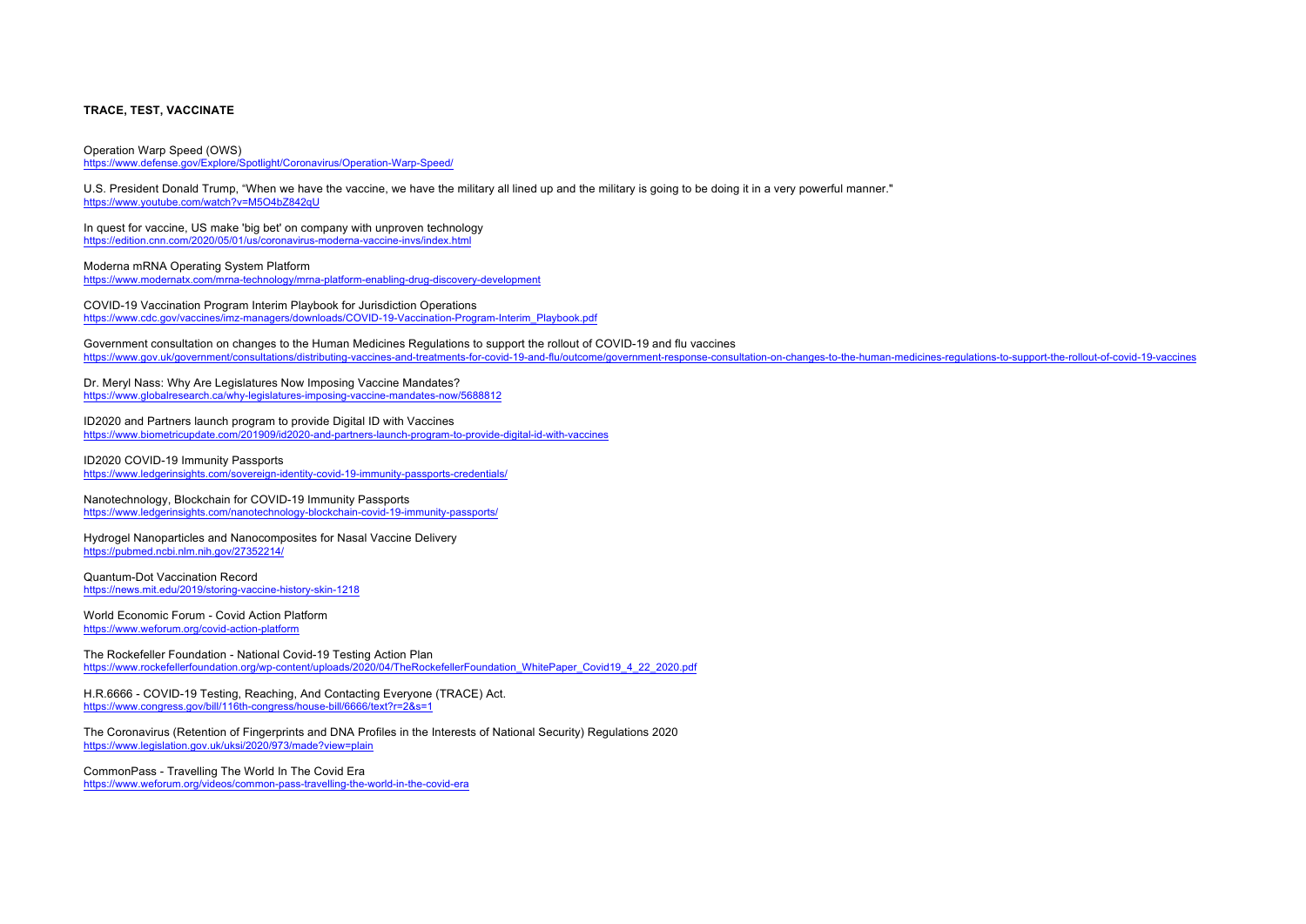#### **TRACE, TEST, VACCINATE**

Operation Warp Speed (OWS) https://www.defense.gov/Explore/Spotlight/Coronavirus/Operation-Warp-Speed/

U.S. President Donald Trump, "When we have the vaccine, we have the military all lined up and the military is going to be doing it in a very powerful manner." https://www.youtube.com/watch?v=M5O4bZ842qU

In quest for vaccine, US make 'big bet' on company with unproven technology https://edition.cnn.com/2020/05/01/us/coronavirus-moderna-vaccine-invs/index.html

Moderna mRNA Operating System Platform https://www.modernatx.com/mrna-technology/mrna-platform-enabling-drug-discovery-development

COVID-19 Vaccination Program Interim Playbook for Jurisdiction Operations https://www.cdc.gov/vaccines/imz-managers/downloads/COVID-19-Vaccination-Program-Interim\_Playbook.pdf

Government consultation on changes to the Human Medicines Regulations to support the rollout of COVID-19 and flu vaccines https://www.gov.uk/government/consultations/distributing-vaccines-and-treatments-for-covid-19-and-flu/outcome/government-response-consultation-on-changes-to-the-human-medicines-regulations-to-support-the-rollout-of-covid-1

Dr. Meryl Nass: Why Are Legislatures Now Imposing Vaccine Mandates? https://www.globalresearch.ca/why-legislatures-imposing-vaccine-mandates-now/5688812

ID2020 and Partners launch program to provide Digital ID with Vaccines https://www.biometricupdate.com/201909/id2020-and-partners-launch-program-to-provide-digital-id-with-vaccines

ID2020 COVID-19 Immunity Passports https://www.ledgerinsights.com/sovereign-identity-covid-19-immunity-passports-credentials/

Nanotechnology, Blockchain for COVID-19 Immunity Passports https://www.ledgerinsights.com/nanotechnology-blockchain-covid-19-immunity-passports/

Hydrogel Nanoparticles and Nanocomposites for Nasal Vaccine Delivery https://pubmed.ncbi.nlm.nih.gov/27352214/

Quantum-Dot Vaccination Record https://news.mit.edu/2019/storing-vaccine-history-skin-1218

World Economic Forum - Covid Action Platform https://www.weforum.org/covid-action-platform

The Rockefeller Foundation - National Covid-19 Testing Action Plan https://www.rockefellerfoundation.org/wp-content/uploads/2020/04/TheRockefellerFoundation\_WhitePaper\_Covid19\_4\_22\_2020.pdf

H.R.6666 - COVID-19 Testing, Reaching, And Contacting Everyone (TRACE) Act. https://www.congress.gov/bill/116th-congress/house-bill/6666/text?r=2&s=1

The Coronavirus (Retention of Fingerprints and DNA Profiles in the Interests of National Security) Regulations 2020 https://www.legislation.gov.uk/uksi/2020/973/made?view=plain

CommonPass - Travelling The World In The Covid Era https://www.weforum.org/videos/common-pass-travelling-the-world-in-the-covid-era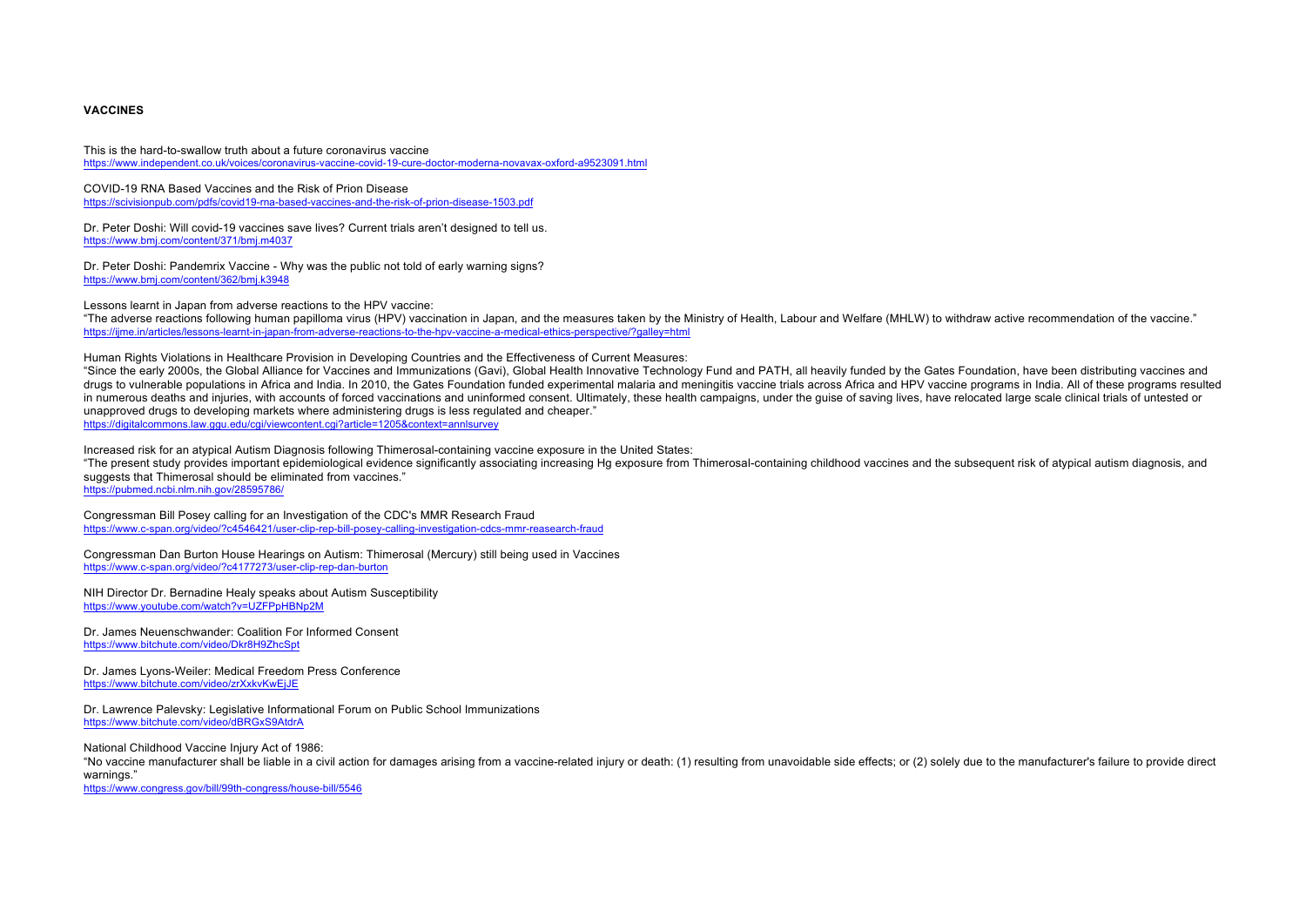# **VACCINES**

This is the hard-to-swallow truth about a future coronavirus vaccine https://www.independent.co.uk/voices/coronavirus-vaccine-covid-19-cure-doctor-moderna-novavax-oxford-a9523091.html

COVID-19 RNA Based Vaccines and the Risk of Prion Disease https://scivisionpub.com/pdfs/covid19-rna-based-vaccines-and-the-risk-of-prion-disease-1503.pdf

Dr. Peter Doshi: Will covid-19 vaccines save lives? Current trials aren't designed to tell us. https://www.bmj.com/content/371/bmj.m4037

Dr. Peter Doshi: Pandemrix Vaccine - Why was the public not told of early warning signs? https://www.bmj.com/content/362/bmj.k3948

Lessons learnt in Japan from adverse reactions to the HPV vaccine:

"The adverse reactions following human papilloma virus (HPV) vaccination in Japan, and the measures taken by the Ministry of Health, Labour and Welfare (MHLW) to withdraw active recommendation of the vaccine." https://ijme.in/articles/lessons-learnt-in-japan-from-adverse-reactions-to-the-hpv-vaccine-a-medical-ethics-perspective/?galley=html

Human Rights Violations in Healthcare Provision in Developing Countries and the Effectiveness of Current Measures:

"Since the early 2000s, the Global Alliance for Vaccines and Immunizations (Gavi), Global Health Innovative Technology Fund and PATH, all heavily funded by the Gates Foundation, have been distributing vaccines and drugs to vulnerable populations in Africa and India. In 2010, the Gates Foundation funded experimental malaria and meningitis vaccine trials across Africa and HPV vaccine programs in India. All of these programs resulted in numerous deaths and injuries, with accounts of forced vaccinations and uninformed consent. Ultimately, these health campaigns, under the quise of saving lives, have relocated large scale clinical trials of untested or unapproved drugs to developing markets where administering drugs is less regulated and cheaper." https://digitalcommons.law.ggu.edu/cgi/viewcontent.cgi?article=1205&context=annlsurvey

Increased risk for an atypical Autism Diagnosis following Thimerosal-containing vaccine exposure in the United States:

"The present study provides important epidemiological evidence significantly associating increasing Hg exposure from Thimerosal-containing childhood vaccines and the subsequent risk of atypical autism diagnosis, and suggests that Thimerosal should be eliminated from vaccines."

https://pubmed.ncbi.nlm.nih.gov/28595786/

Congressman Bill Posey calling for an Investigation of the CDC's MMR Research Fraud https://www.c-span.org/video/?c4546421/user-clip-rep-bill-posey-calling-investigation-cdcs-mmr-reasearch-fraud

Congressman Dan Burton House Hearings on Autism: Thimerosal (Mercury) still being used in Vaccines https://www.c-span.org/video/?c4177273/user-clip-rep-dan-burton

NIH Director Dr. Bernadine Healy speaks about Autism Susceptibility https://www.youtube.com/watch?v=UZFPpHBNn2M

Dr. James Neuenschwander: Coalition For Informed Consent https://www.bitchute.com/video/Dkr8H9ZhcSpt

Dr. James Lyons-Weiler: Medical Freedom Press Conference https://www.bitchute.com/video/zrXxkvKwEjJE

Dr. Lawrence Palevsky: Legislative Informational Forum on Public School Immunizations https://www.bitchute.com/video/dBRGxS9AtdrA

National Childhood Vaccine Injury Act of 1986:

"No vaccine manufacturer shall be liable in a civil action for damages arising from a vaccine-related iniury or death: (1) resulting from unavoidable side effects: or (2) solely due to the manufacturer's failure to provide warnings."

https://www.congress.gov/bill/99th-congress/house-bill/5546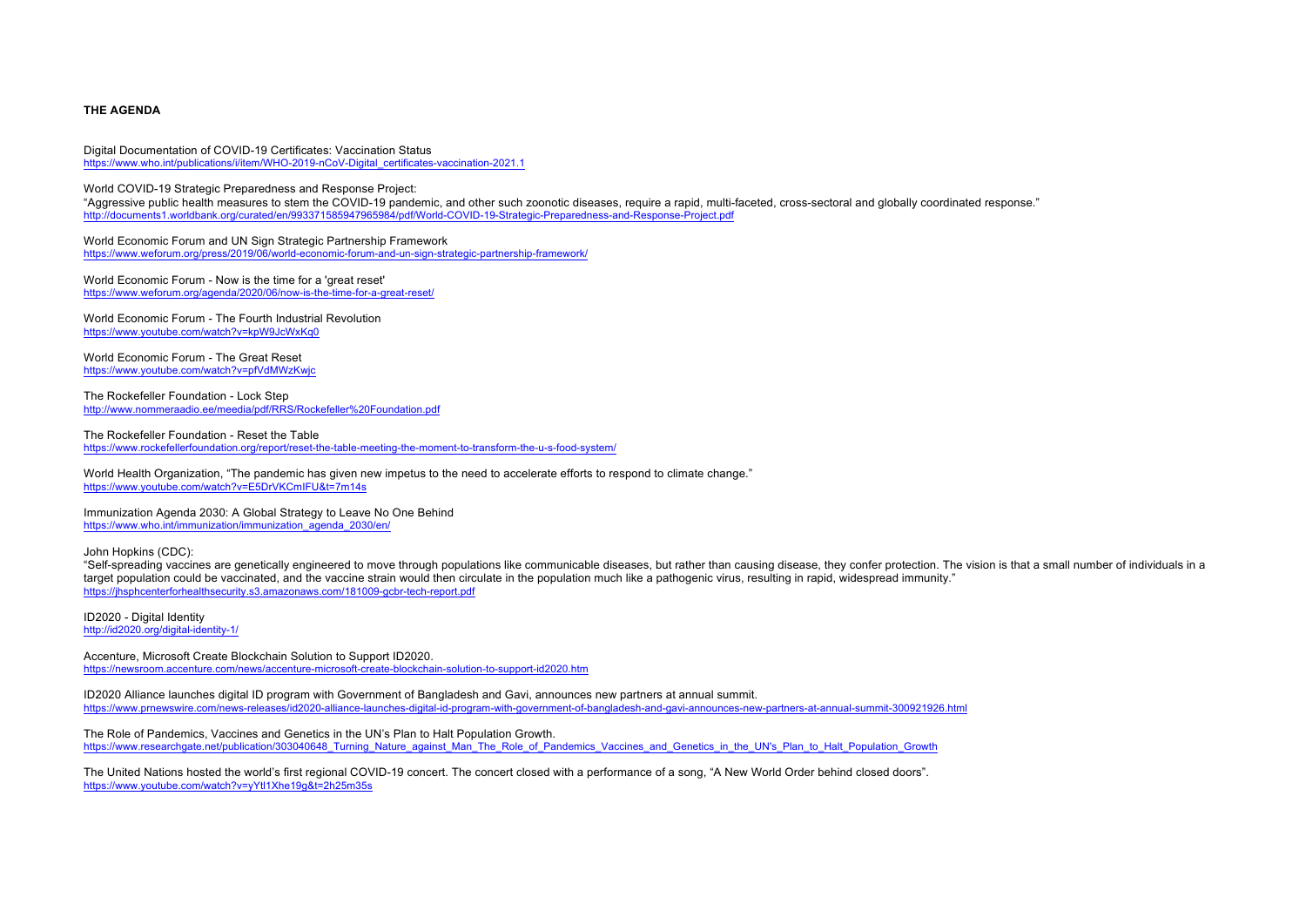# **THE AGENDA**

Digital Documentation of COVID-19 Certificates: Vaccination Status https://www.who.int/publications/i/item/WHO-2019-nCoV-Digital\_certificates-vaccination-2021.1

World COVID-19 Strategic Preparedness and Response Project:

"Aggressive public health measures to stem the COVID-19 pandemic, and other such zoonotic diseases, require a rapid, multi-faceted, cross-sectoral and globally coordinated response." http://documents1.worldbank.org/curated/en/993371585947965984/pdf/World-COVID-19-Strategic-Preparedness-and-Response-Project.pdf

World Economic Forum and UN Sign Strategic Partnership Framework https://www.weforum.org/press/2019/06/world-economic-forum-and-un-sign-strategic-partnership-framework/

World Economic Forum - Now is the time for a 'great reset' https://www.weforum.org/agenda/2020/06/now-is-the-time-for-a-great-reset/

World Economic Forum - The Fourth Industrial Revolution https://www.youtube.com/watch?v=kpW9JcWxKq0

World Economic Forum - The Great Reset https://www.youtube.com/watch?v=pfVdMWzKwjc

The Rockefeller Foundation - Lock Step http://www.nommeraadio.ee/meedia/pdf/RRS/Rockefeller%20Foundation.pdf

The Rockefeller Foundation - Reset the Table

https://www.rockefellerfoundation.org/report/reset-the-table-meeting-the-moment-to-transform-the-u-s-food-system/

World Health Organization, "The pandemic has given new impetus to the need to accelerate efforts to respond to climate change." https://www.youtube.com/watch?v=E5DrVKCmIFU&t=7m14s

Immunization Agenda 2030: A Global Strategy to Leave No One Behind https://www.who.int/immunization/immunization\_agenda\_2030/en/

John Hopkins (CDC):

"Self-spreading vaccines are genetically engineered to move through populations like communicable diseases, but rather than causing disease, they confer protection. The vision is that a small number of individuals in a target population could be vaccinated, and the vaccine strain would then circulate in the population much like a pathogenic virus, resulting in rapid, widespread immunity." https://jhsphcenterforhealthsecurity.s3.amazonaws.com/181009-gcbr-tech-report.pdf

ID2020 - Digital Identity http://id2020.org/digital-identity-1/

Accenture, Microsoft Create Blockchain Solution to Support ID2020. https://newsroom.accenture.com/news/accenture-microsoft-create-blockchain-solution-to-support-id2020.htm

ID2020 Alliance launches digital ID program with Government of Bangladesh and Gavi, announces new partners at annual summit. https://www.prnewswire.com/news-releases/id2020-alliance-launches-digital-id-program-with-government-of-bangladesh-and-gavi-announces-new-partners-at-annual-summit-300921926.html

The Role of Pandemics, Vaccines and Genetics in the UN's Plan to Halt Population Growth. https://www.researchgate.net/publication/303040648\_Turning\_Nature\_against\_Man\_The\_Role\_of\_Pandemics\_Vaccines\_and\_Genetics\_in\_the\_UN's\_Plan\_to\_Halt\_Population\_Growth

The United Nations hosted the world's first regional COVID-19 concert. The concert closed with a performance of a song, "A New World Order behind closed doors". https://www.youtube.com/watch?v=yYtl1Xhe19g&t=2h25m35s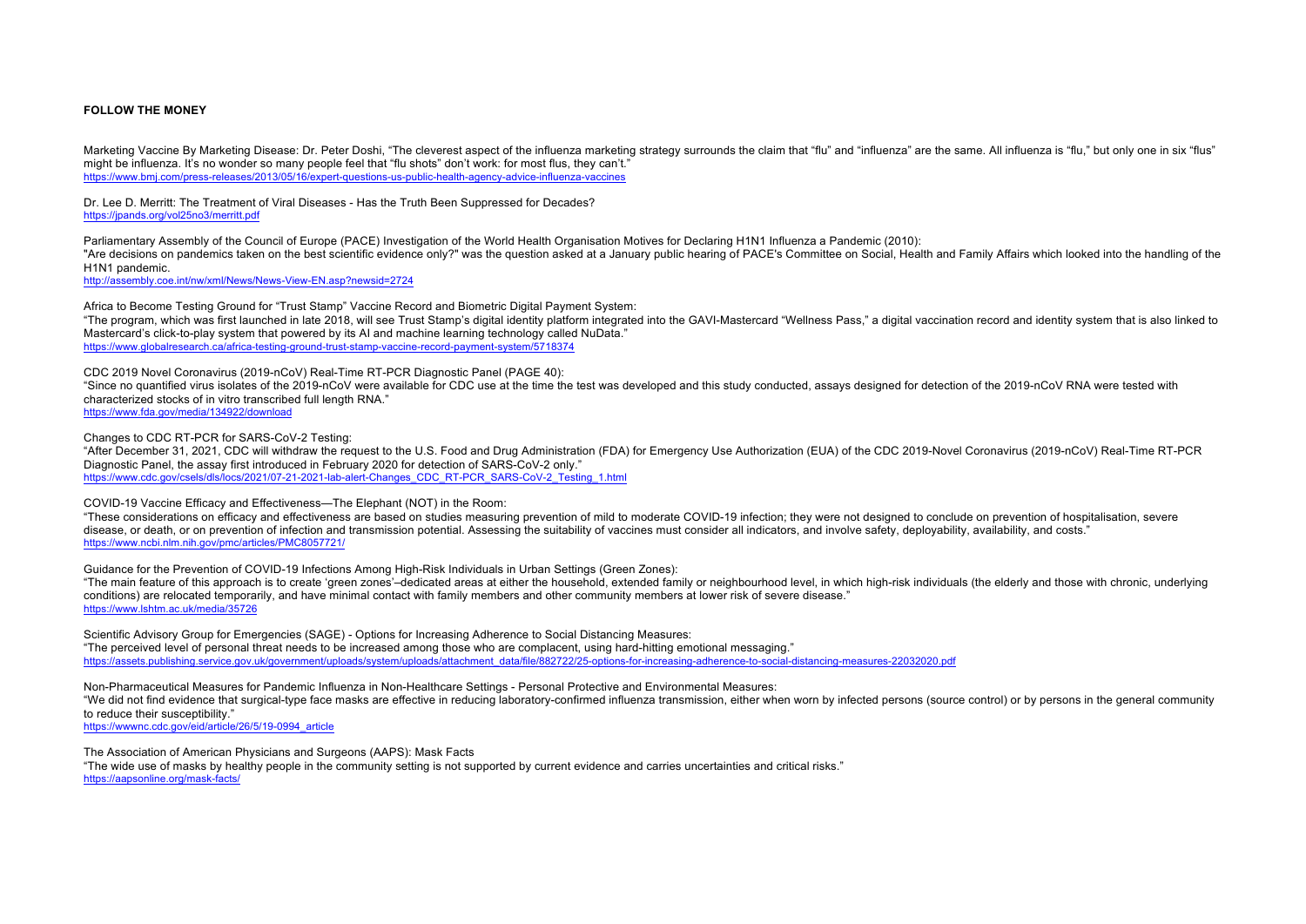### **FOLLOW THE MONEY**

Marketing Vaccine By Marketing Disease: Dr. Peter Doshi, "The cleverest aspect of the influenza marketing strategy surrounds the claim that "flu" and "influenza" are the same. All influenza is "flu," but only one in six "f might be influenza. It's no wonder so many people feel that "flu shots" don't work: for most flus, they can't." https://www.bmj.com/press-releases/2013/05/16/expert-questions-us-public-health-agency-advice-influenza-vaccines

Dr. Lee D. Merritt: The Treatment of Viral Diseases - Has the Truth Been Suppressed for Decades? https://jpands.org/vol25no3/merritt.pdf

Parliamentary Assembly of the Council of Europe (PACE) Investigation of the World Health Organisation Motives for Declaring H1N1 Influenza a Pandemic (2010): "Are decisions on pandemics taken on the best scientific evidence only?" was the question asked at a January public hearing of PACE's Committee on Social, Health and Family Affairs which looked into the handling of the H1N1 pandemic.

http://assembly.coe.int/nw/xml/News/News-View-EN.asp?newsid=2724

Africa to Become Testing Ground for "Trust Stamp" Vaccine Record and Biometric Digital Payment System: "The program, which was first launched in late 2018, will see Trust Stamp's digital identity platform integrated into the GAVI-Mastercard "Wellness Pass," a digital vaccination record and identity system that is also linke Mastercard's click-to-play system that powered by its AI and machine learning technology called NuData." https://www.globalresearch.ca/africa-testing-ground-trust-stamp-vaccine-record-payment-system/5718374

CDC 2019 Novel Coronavirus (2019-nCoV) Real-Time RT-PCR Diagnostic Panel (PAGE 40): "Since no quantified virus isolates of the 2019-nCoV were available for CDC use at the time the test was developed and this study conducted, assays designed for detection of the 2019-nCoV RNA were tested with characterized stocks of in vitro transcribed full length RNA." https://www.fda.gov/media/134922/download

Changes to CDC RT-PCR for SARS-CoV-2 Testing:

"After December 31, 2021, CDC will withdraw the request to the U.S. Food and Drug Administration (FDA) for Emergency Use Authorization (EUA) of the CDC 2019-Novel Coronavirus (2019-nCoV) Real-Time RT-PCR Diagnostic Panel, the assay first introduced in February 2020 for detection of SARS-CoV-2 only." https://www.cdc.gov/csels/dls/locs/2021/07-21-2021-lab-alert-Changes\_CDC\_RT-PCR\_SARS-CoV-2\_Testing\_1.html

COVID-19 Vaccine Efficacy and Effectiveness—The Elephant (NOT) in the Room:

"These considerations on efficacy and effectiveness are based on studies measuring prevention of mild to moderate COVID-19 infection; they were not designed to conclude on prevention of hospitalisation, severe disease, or death, or on prevention of infection and transmission potential. Assessing the suitability of vaccines must consider all indicators, and involve safety, deployability, availability, and costs." https://www.ncbi.nlm.nih.gov/pmc/articles/PMC8057721/

Guidance for the Prevention of COVID-19 Infections Among High-Risk Individuals in Urban Settings (Green Zones):

"The main feature of this approach is to create 'green zones'–dedicated areas at either the household, extended family or neighbourhood level, in which high-risk individuals (the elderly and those with chronic, underlying conditions) are relocated temporarily, and have minimal contact with family members and other community members at lower risk of severe disease." https://www.lshtm.ac.uk/media/35726

Scientific Advisory Group for Emergencies (SAGE) - Options for Increasing Adherence to Social Distancing Measures: "The perceived level of personal threat needs to be increased among those who are complacent, using hard-hitting emotional messaging." https://assets.publishing.service.gov.uk/government/uploads/system/uploads/attachment\_data/file/882722/25-options-for-increasing-adherence-to-social-distancing-measures-22032020.pdf

Non-Pharmaceutical Measures for Pandemic Influenza in Non-Healthcare Settings - Personal Protective and Environmental Measures: "We did not find evidence that surgical-type face masks are effective in reducing laboratory-confirmed influenza transmission, either when worn by infected persons (source control) or by persons in the general community to reduce their susceptibility."

https://wwwnc.cdc.gov/eid/article/26/5/19-0994\_article

The Association of American Physicians and Surgeons (AAPS): Mask Facts "The wide use of masks by healthy people in the community setting is not supported by current evidence and carries uncertainties and critical risks." https://aapsonline.org/mask-facts/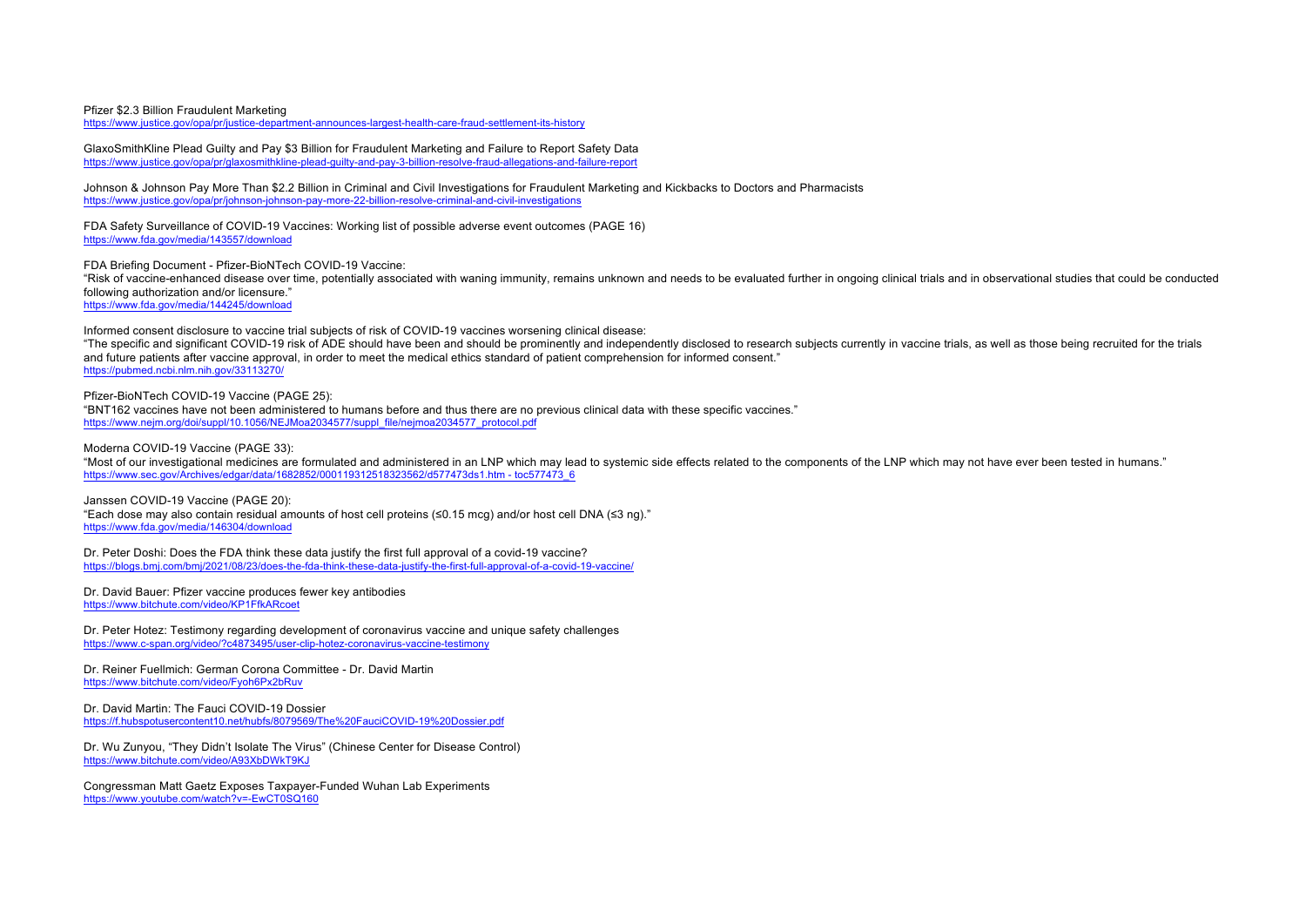### Pfizer \$2.3 Billion Fraudulent Marketing

https://www.justice.gov/opa/pr/justice-department-announces-largest-health-care-fraud-settlement-its-history

GlaxoSmithKline Plead Guilty and Pay \$3 Billion for Fraudulent Marketing and Failure to Report Safety Data https://www.justice.gov/opa/pr/glaxosmithkline-plead-guilty-and-pay-3-billion-resolve-fraud-allegations-and-failure-report

Johnson & Johnson Pay More Than \$2.2 Billion in Criminal and Civil Investigations for Fraudulent Marketing and Kickbacks to Doctors and Pharmacists https://www.justice.gov/opa/pr/johnson-johnson-pay-more-22-billion-resolve-criminal-and-civil-investigations

FDA Safety Surveillance of COVID-19 Vaccines: Working list of possible adverse event outcomes (PAGE 16) https://www.fda.gov/media/143557/download

FDA Briefing Document - Pfizer-BioNTech COVID-19 Vaccine: "Risk of vaccine-enhanced disease over time, potentially associated with waning immunity, remains unknown and needs to be evaluated further in ongoing clinical trials and in observational studies that could be conducted following authorization and/or licensure." https://www.fda.gov/media/144245/download

Informed consent disclosure to vaccine trial subjects of risk of COVID-19 vaccines worsening clinical disease: "The specific and significant COVID-19 risk of ADE should have been and should be prominently and independently disclosed to research subjects currently in vaccine trials, as well as those being recruited for the trials and future patients after vaccine approval, in order to meet the medical ethics standard of patient comprehension for informed consent." https://pubmed.ncbi.nlm.nih.gov/33113270/

Pfizer-BioNTech COVID-19 Vaccine (PAGE 25):

"BNT162 vaccines have not been administered to humans before and thus there are no previous clinical data with these specific vaccines." https://www.nejm.org/doi/suppl/10.1056/NEJMoa2034577/suppl\_file/nejmoa2034577\_protocol.pdf

Moderna COVID-19 Vaccine (PAGE 33):

"Most of our investigational medicines are formulated and administered in an LNP which may lead to systemic side effects related to the components of the LNP which may not have ever been tested in humans." https://www.sec.gov/Archives/edgar/data/1682852/000119312518323562/d577473ds1.htm - toc577473\_6

Janssen COVID-19 Vaccine (PAGE 20): "Each dose may also contain residual amounts of host cell proteins (≤0.15 mcg) and/or host cell DNA (≤3 ng)." https://www.fda.gov/media/146304/download

Dr. Peter Doshi: Does the FDA think these data justify the first full approval of a covid-19 vaccine? https://blogs.bmj.com/bmj/2021/08/23/does-the-fda-think-these-data-justify-the-first-full-approval-of-a-covid-19-vaccine/

Dr. David Bauer: Pfizer vaccine produces fewer key antibodies https://www.bitchute.com/video/KP1FfkARcoet

Dr. Peter Hotez: Testimony regarding development of coronavirus vaccine and unique safety challenges https://www.c-span.org/video/?c4873495/user-clip-hotez-coronavirus-vaccine-testimony

Dr. Reiner Fuellmich: German Corona Committee - Dr. David Martin https://www.bitchute.com/video/Fyoh6Px2bRuv

Dr. David Martin: The Fauci COVID-19 Dossier https://f.hubspotusercontent10.net/hubfs/8079569/The%20FauciCOVID-19%20Dossier.pdf

Dr. Wu Zunyou, "They Didn't Isolate The Virus" (Chinese Center for Disease Control) https://www.bitchute.com/video/A93XbDWkT9KJ

Congressman Matt Gaetz Exposes Taxpayer-Funded Wuhan Lab Experiments https://www.youtube.com/watch?v=-EwCT0SQ160